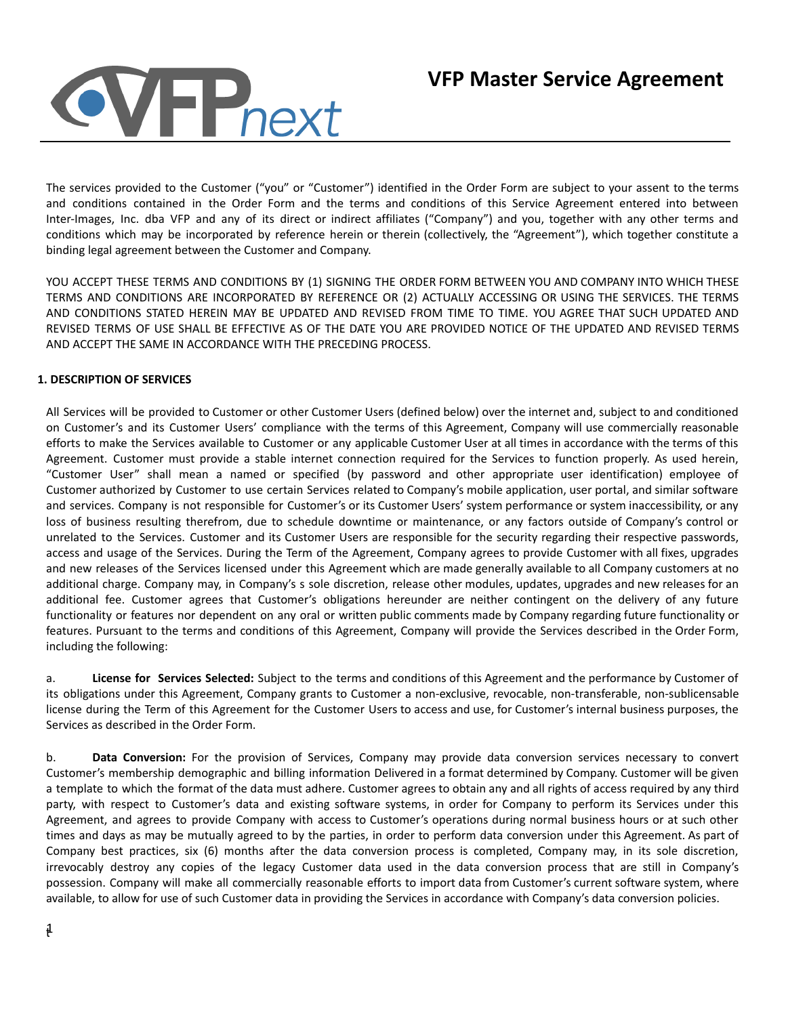

The services provided to the Customer ("you" or "Customer") identified in the Order Form are subject to your assent to the terms and conditions contained in the Order Form and the terms and conditions of this Service Agreement entered into between Inter-Images, Inc. dba VFP and any of its direct or indirect affiliates ("Company") and you, together with any other terms and conditions which may be incorporated by reference herein or therein (collectively, the "Agreement"), which together constitute a binding legal agreement between the Customer and Company.

YOU ACCEPT THESE TERMS AND CONDITIONS BY (1) SIGNING THE ORDER FORM BETWEEN YOU AND COMPANY INTO WHICH THESE TERMS AND CONDITIONS ARE INCORPORATED BY REFERENCE OR (2) ACTUALLY ACCESSING OR USING THE SERVICES. THE TERMS AND CONDITIONS STATED HEREIN MAY BE UPDATED AND REVISED FROM TIME TO TIME. YOU AGREE THAT SUCH UPDATED AND REVISED TERMS OF USE SHALL BE EFFECTIVE AS OF THE DATE YOU ARE PROVIDED NOTICE OF THE UPDATED AND REVISED TERMS AND ACCEPT THE SAME IN ACCORDANCE WITH THE PRECEDING PROCESS.

## **1. DESCRIPTION OF SERVICES**

All Services will be provided to Customer or other Customer Users (defined below) over the internet and, subject to and conditioned on Customer's and its Customer Users' compliance with the terms of this Agreement, Company will use commercially reasonable efforts to make the Services available to Customer or any applicable Customer User at all times in accordance with the terms of this Agreement. Customer must provide a stable internet connection required for the Services to function properly. As used herein, "Customer User" shall mean a named or specified (by password and other appropriate user identification) employee of Customer authorized by Customer to use certain Services related to Company's mobile application, user portal, and similar software and services. Company is not responsible for Customer's or its Customer Users' system performance or system inaccessibility, or any loss of business resulting therefrom, due to schedule downtime or maintenance, or any factors outside of Company's control or unrelated to the Services. Customer and its Customer Users are responsible for the security regarding their respective passwords, access and usage of the Services. During the Term of the Agreement, Company agrees to provide Customer with all fixes, upgrades and new releases of the Services licensed under this Agreement which are made generally available to all Company customers at no additional charge. Company may, in Company's s sole discretion, release other modules, updates, upgrades and new releases for an additional fee. Customer agrees that Customer's obligations hereunder are neither contingent on the delivery of any future functionality or features nor dependent on any oral or written public comments made by Company regarding future functionality or features. Pursuant to the terms and conditions of this Agreement, Company will provide the Services described in the Order Form, including the following:

a. **License for Services Selected:** Subject to the terms and conditions of this Agreement and the performance by Customer of its obligations under this Agreement, Company grants to Customer a non-exclusive, revocable, non-transferable, non-sublicensable license during the Term of this Agreement for the Customer Users to access and use, for Customer's internal business purposes, the Services as described in the Order Form.

b. **Data Conversion:** For the provision of Services, Company may provide data conversion services necessary to convert Customer's membership demographic and billing information Delivered in a format determined by Company. Customer will be given a template to which the format of the data must adhere. Customer agrees to obtain any and all rights of access required by any third party, with respect to Customer's data and existing software systems, in order for Company to perform its Services under this Agreement, and agrees to provide Company with access to Customer's operations during normal business hours or at such other times and days as may be mutually agreed to by the parties, in order to perform data conversion under this Agreement. As part of Company best practices, six (6) months after the data conversion process is completed, Company may, in its sole discretion, irrevocably destroy any copies of the legacy Customer data used in the data conversion process that are still in Company's possession. Company will make all commercially reasonable efforts to import data from Customer's current software system, where available, to allow for use of such Customer data in providing the Services in accordance with Company's data conversion policies.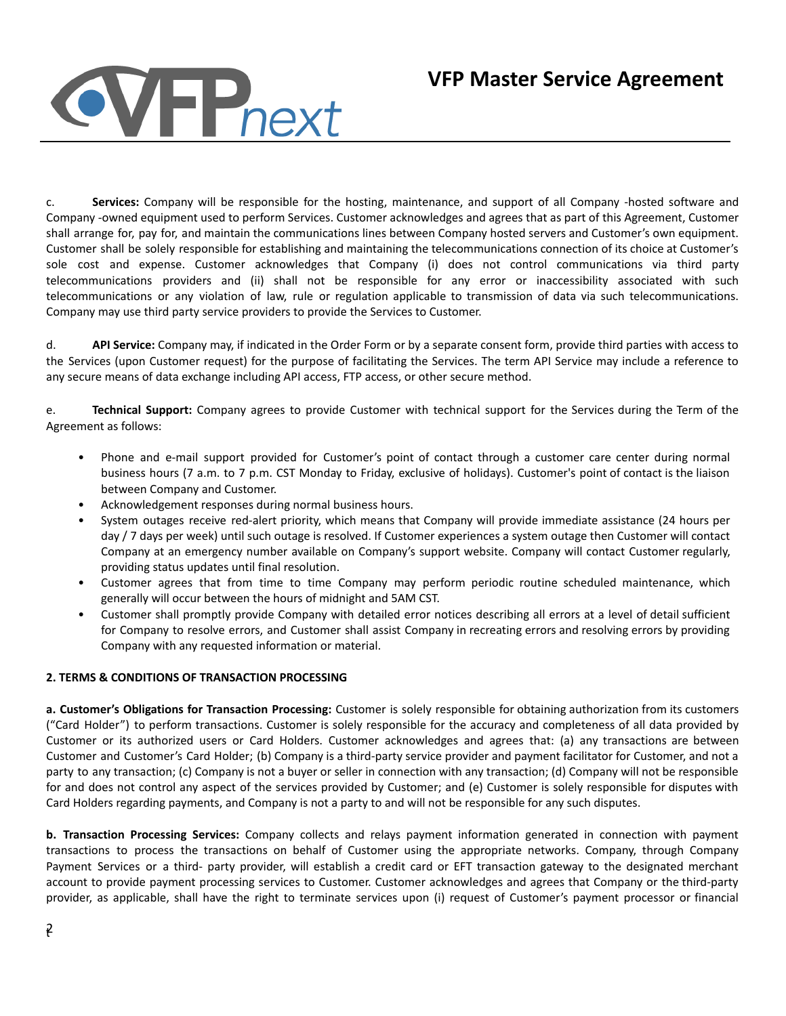c. **Services:** Company will be responsible for the hosting, maintenance, and support of all Company -hosted software and Company -owned equipment used to perform Services. Customer acknowledges and agrees that as part of this Agreement, Customer shall arrange for, pay for, and maintain the communications lines between Company hosted servers and Customer's own equipment. Customer shall be solely responsible for establishing and maintaining the telecommunications connection of its choice at Customer's sole cost and expense. Customer acknowledges that Company (i) does not control communications via third party telecommunications providers and (ii) shall not be responsible for any error or inaccessibility associated with such telecommunications or any violation of law, rule or regulation applicable to transmission of data via such telecommunications. Company may use third party service providers to provide the Services to Customer.

d. **API Service:** Company may, if indicated in the Order Form or by a separate consent form, provide third parties with access to the Services (upon Customer request) for the purpose of facilitating the Services. The term API Service may include a reference to any secure means of data exchange including API access, FTP access, or other secure method.

e. **Technical Support:** Company agrees to provide Customer with technical support for the Services during the Term of the Agreement as follows:

- Phone and e-mail support provided for Customer's point of contact through a customer care center during normal business hours (7 a.m. to 7 p.m. CST Monday to Friday, exclusive of holidays). Customer's point of contact is the liaison between Company and Customer.
- Acknowledgement responses during normal business hours.
- System outages receive red-alert priority, which means that Company will provide immediate assistance (24 hours per day / 7 days per week) until such outage is resolved. If Customer experiences a system outage then Customer will contact Company at an emergency number available on Company's support website. Company will contact Customer regularly, providing status updates until final resolution.
- Customer agrees that from time to time Company may perform periodic routine scheduled maintenance, which generally will occur between the hours of midnight and 5AM CST.
- Customer shall promptly provide Company with detailed error notices describing all errors at a level of detail sufficient for Company to resolve errors, and Customer shall assist Company in recreating errors and resolving errors by providing Company with any requested information or material.

## **2. TERMS & CONDITIONS OF TRANSACTION PROCESSING**

**a. Customer's Obligations for Transaction Processing:** Customer is solely responsible for obtaining authorization from its customers ("Card Holder") to perform transactions. Customer is solely responsible for the accuracy and completeness of all data provided by Customer or its authorized users or Card Holders. Customer acknowledges and agrees that: (a) any transactions are between Customer and Customer's Card Holder; (b) Company is a third-party service provider and payment facilitator for Customer, and not a party to any transaction; (c) Company is not a buyer or seller in connection with any transaction; (d) Company will not be responsible for and does not control any aspect of the services provided by Customer; and (e) Customer is solely responsible for disputes with Card Holders regarding payments, and Company is not a party to and will not be responsible for any such disputes.

**b. Transaction Processing Services:** Company collects and relays payment information generated in connection with payment transactions to process the transactions on behalf of Customer using the appropriate networks. Company, through Company Payment Services or a third- party provider, will establish a credit card or EFT transaction gateway to the designated merchant account to provide payment processing services to Customer. Customer acknowledges and agrees that Company or the third-party provider, as applicable, shall have the right to terminate services upon (i) request of Customer's payment processor or financial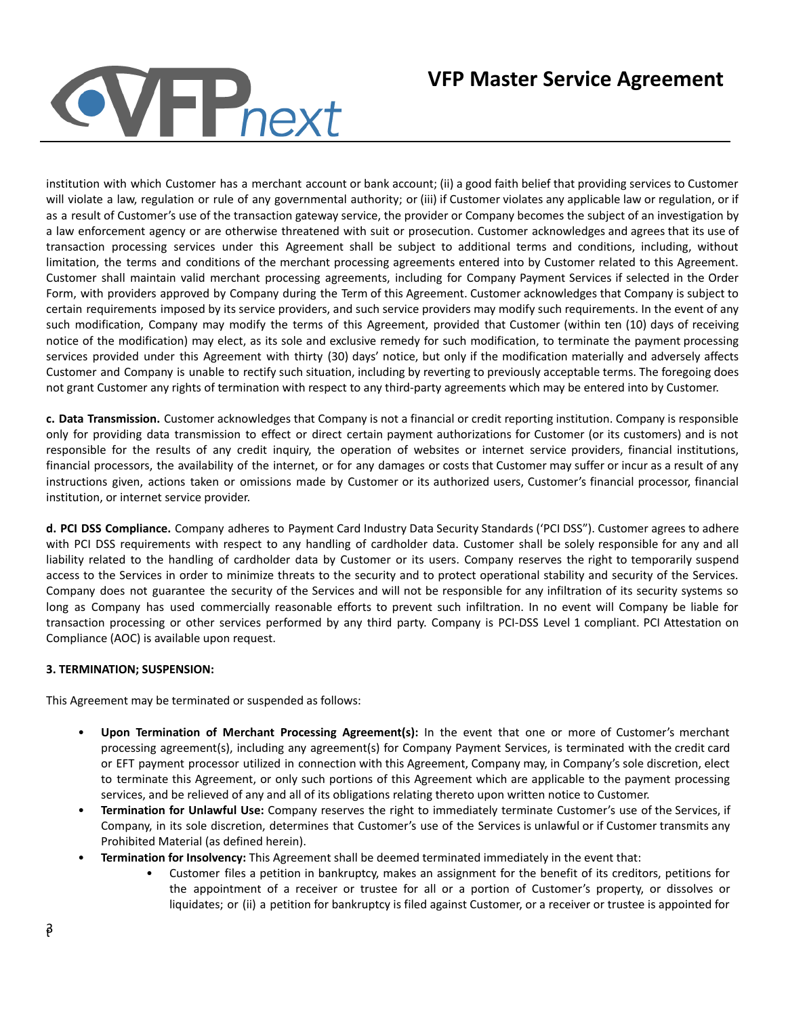# **VFP**<sub>next</sub>

## **VFP Master Service Agreement**

institution with which Customer has a merchant account or bank account; (ii) a good faith belief that providing services to Customer will violate a law, regulation or rule of any governmental authority; or (iii) if Customer violates any applicable law or regulation, or if as a result of Customer's use of the transaction gateway service, the provider or Company becomes the subject of an investigation by a law enforcement agency or are otherwise threatened with suit or prosecution. Customer acknowledges and agrees that its use of transaction processing services under this Agreement shall be subject to additional terms and conditions, including, without limitation, the terms and conditions of the merchant processing agreements entered into by Customer related to this Agreement. Customer shall maintain valid merchant processing agreements, including for Company Payment Services if selected in the Order Form, with providers approved by Company during the Term of this Agreement. Customer acknowledges that Company is subject to certain requirements imposed by its service providers, and such service providers may modify such requirements. In the event of any such modification, Company may modify the terms of this Agreement, provided that Customer (within ten (10) days of receiving notice of the modification) may elect, as its sole and exclusive remedy for such modification, to terminate the payment processing services provided under this Agreement with thirty (30) days' notice, but only if the modification materially and adversely affects Customer and Company is unable to rectify such situation, including by reverting to previously acceptable terms. The foregoing does not grant Customer any rights of termination with respect to any third-party agreements which may be entered into by Customer.

**c. Data Transmission.** Customer acknowledges that Company is not a financial or credit reporting institution. Company is responsible only for providing data transmission to effect or direct certain payment authorizations for Customer (or its customers) and is not responsible for the results of any credit inquiry, the operation of websites or internet service providers, financial institutions, financial processors, the availability of the internet, or for any damages or costs that Customer may suffer or incur as a result of any instructions given, actions taken or omissions made by Customer or its authorized users, Customer's financial processor, financial institution, or internet service provider.

**d. PCI DSS Compliance.** Company adheres to Payment Card Industry Data Security Standards ('PCI DSS"). Customer agrees to adhere with PCI DSS requirements with respect to any handling of cardholder data. Customer shall be solely responsible for any and all liability related to the handling of cardholder data by Customer or its users. Company reserves the right to temporarily suspend access to the Services in order to minimize threats to the security and to protect operational stability and security of the Services. Company does not guarantee the security of the Services and will not be responsible for any infiltration of its security systems so long as Company has used commercially reasonable efforts to prevent such infiltration. In no event will Company be liable for transaction processing or other services performed by any third party. Company is PCI-DSS Level 1 compliant. PCI Attestation on Compliance (AOC) is available upon request.

## **3. TERMINATION; SUSPENSION:**

This Agreement may be terminated or suspended as follows:

- **Upon Termination of Merchant Processing Agreement(s):** In the event that one or more of Customer's merchant processing agreement(s), including any agreement(s) for Company Payment Services, is terminated with the credit card or EFT payment processor utilized in connection with this Agreement, Company may, in Company's sole discretion, elect to terminate this Agreement, or only such portions of this Agreement which are applicable to the payment processing services, and be relieved of any and all of its obligations relating thereto upon written notice to Customer.
- **Termination for Unlawful Use:** Company reserves the right to immediately terminate Customer's use of the Services, if Company, in its sole discretion, determines that Customer's use of the Services is unlawful or if Customer transmits any Prohibited Material (as defined herein).
- **Termination for Insolvency:** This Agreement shall be deemed terminated immediately in the event that:
	- Customer files a petition in bankruptcy, makes an assignment for the benefit of its creditors, petitions for the appointment of a receiver or trustee for all or a portion of Customer's property, or dissolves or liquidates; or (ii) a petition for bankruptcy is filed against Customer, or a receiver or trustee is appointed for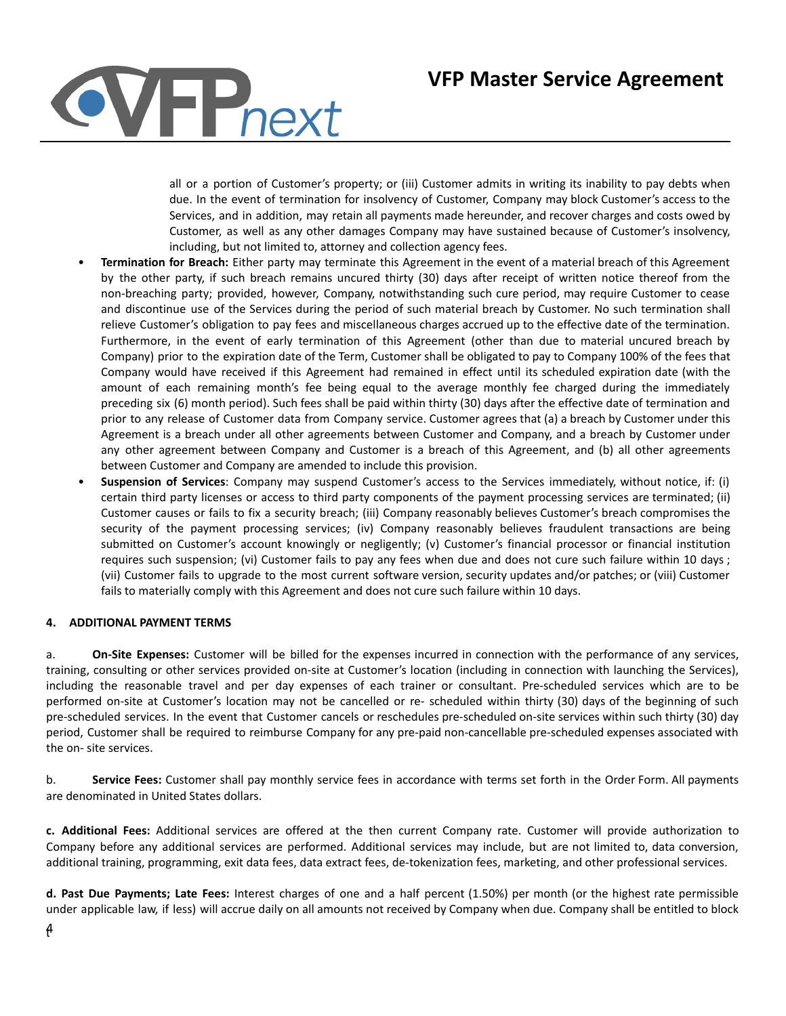

all or a portion of Customer's property; or (iii) Customer admits in writing its inability to pay debts when due. In the event of termination for insolvency of Customer, Company may block Customer's access to the Services, and in addition, may retain all payments made hereunder, and recover charges and costs owed by Customer, as well as any other damages Company may have sustained because of Customer's insolvency, including, but not limited to, attorney and collection agency fees.

- **Termination for Breach:** Either party may terminate this Agreement in the event of a material breach of this Agreement by the other party, if such breach remains uncured thirty (30) days after receipt of written notice thereof from the non-breaching party; provided, however, Company, notwithstanding such cure period, may require Customer to cease and discontinue use of the Services during the period of such material breach by Customer. No such termination shall relieve Customer's obligation to pay fees and miscellaneous charges accrued up to the effective date of the termination. Furthermore, in the event of early termination of this Agreement (other than due to material uncured breach by Company) prior to the expiration date of the Term, Customer shall be obligated to pay to Company 100% of the fees that Company would have received if this Agreement had remained in effect until its scheduled expiration date (with the amount of each remaining month's fee being equal to the average monthly fee charged during the immediately preceding six (6) month period). Such fees shall be paid within thirty (30) days after the effective date of termination and prior to any release of Customer data from Company service. Customer agrees that (a) a breach by Customer under this Agreement is a breach under all other agreements between Customer and Company, and a breach by Customer under any other agreement between Company and Customer is a breach of this Agreement, and (b) all other agreements between Customer and Company are amended to include this provision.
- **Suspension of Services**: Company may suspend Customer's access to the Services immediately, without notice, if: (i) certain third party licenses or access to third party components of the payment processing services are terminated; (ii) Customer causes or fails to fix a security breach; (iii) Company reasonably believes Customer's breach compromises the security of the payment processing services; (iv) Company reasonably believes fraudulent transactions are being submitted on Customer's account knowingly or negligently; (v) Customer's financial processor or financial institution requires such suspension; (vi) Customer fails to pay any fees when due and does not cure such failure within 10 days ; (vii) Customer fails to upgrade to the most current software version, security updates and/or patches; or (viii) Customer fails to materially comply with this Agreement and does not cure such failure within 10 days.

## **4. ADDITIONAL PAYMENT TERMS**

a. **On-Site Expenses:** Customer will be billed for the expenses incurred in connection with the performance of any services, training, consulting or other services provided on-site at Customer's location (including in connection with launching the Services), including the reasonable travel and per day expenses of each trainer or consultant. Pre-scheduled services which are to be performed on-site at Customer's location may not be cancelled or re- scheduled within thirty (30) days of the beginning of such pre-scheduled services. In the event that Customer cancels or reschedules pre-scheduled on-site services within such thirty (30) day period, Customer shall be required to reimburse Company for any pre-paid non-cancellable pre-scheduled expenses associated with the on- site services.

b. **Service Fees:** Customer shall pay monthly service fees in accordance with terms set forth in the Order Form. All payments are denominated in United States dollars.

**c. Additional Fees:** Additional services are offered at the then current Company rate. Customer will provide authorization to Company before any additional services are performed. Additional services may include, but are not limited to, data conversion, additional training, programming, exit data fees, data extract fees, de-tokenization fees, marketing, and other professional services.

**d. Past Due Payments; Late Fees:** Interest charges of one and a half percent (1.50%) per month (or the highest rate permissible under applicable law, if less) will accrue daily on all amounts not received by Company when due. Company shall be entitled to block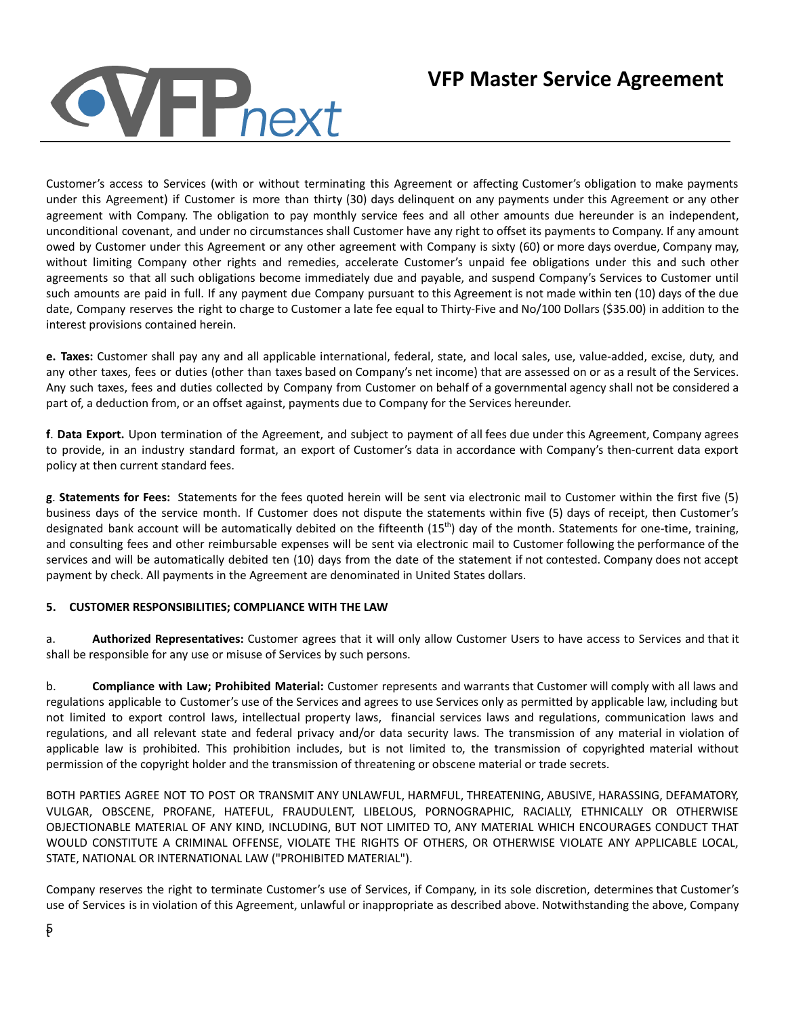# **VFP**<sub>next</sub>

## **VFP Master Service Agreement**

Customer's access to Services (with or without terminating this Agreement or affecting Customer's obligation to make payments under this Agreement) if Customer is more than thirty (30) days delinquent on any payments under this Agreement or any other agreement with Company. The obligation to pay monthly service fees and all other amounts due hereunder is an independent, unconditional covenant, and under no circumstances shall Customer have any right to offset its payments to Company. If any amount owed by Customer under this Agreement or any other agreement with Company is sixty (60) or more days overdue, Company may, without limiting Company other rights and remedies, accelerate Customer's unpaid fee obligations under this and such other agreements so that all such obligations become immediately due and payable, and suspend Company's Services to Customer until such amounts are paid in full. If any payment due Company pursuant to this Agreement is not made within ten (10) days of the due date, Company reserves the right to charge to Customer a late fee equal to Thirty-Five and No/100 Dollars (\$35.00) in addition to the interest provisions contained herein.

**e. Taxes:** Customer shall pay any and all applicable international, federal, state, and local sales, use, value-added, excise, duty, and any other taxes, fees or duties (other than taxes based on Company's net income) that are assessed on or as a result of the Services. Any such taxes, fees and duties collected by Company from Customer on behalf of a governmental agency shall not be considered a part of, a deduction from, or an offset against, payments due to Company for the Services hereunder.

**f**. **Data Export.** Upon termination of the Agreement, and subject to payment of all fees due under this Agreement, Company agrees to provide, in an industry standard format, an export of Customer's data in accordance with Company's then-current data export policy at then current standard fees.

**g**. **Statements for Fees:** Statements for the fees quoted herein will be sent via electronic mail to Customer within the first five (5) business days of the service month. If Customer does not dispute the statements within five (5) days of receipt, then Customer's designated bank account will be automatically debited on the fifteenth (15<sup>th</sup>) day of the month. Statements for one-time, training, and consulting fees and other reimbursable expenses will be sent via electronic mail to Customer following the performance of the services and will be automatically debited ten (10) days from the date of the statement if not contested. Company does not accept payment by check. All payments in the Agreement are denominated in United States dollars.

## **5. CUSTOMER RESPONSIBILITIES; COMPLIANCE WITH THE LAW**

a. **Authorized Representatives:** Customer agrees that it will only allow Customer Users to have access to Services and that it shall be responsible for any use or misuse of Services by such persons.

b. **Compliance with Law; Prohibited Material:** Customer represents and warrants that Customer will comply with all laws and regulations applicable to Customer's use of the Services and agrees to use Services only as permitted by applicable law, including but not limited to export control laws, intellectual property laws, financial services laws and regulations, communication laws and regulations, and all relevant state and federal privacy and/or data security laws. The transmission of any material in violation of applicable law is prohibited. This prohibition includes, but is not limited to, the transmission of copyrighted material without permission of the copyright holder and the transmission of threatening or obscene material or trade secrets.

BOTH PARTIES AGREE NOT TO POST OR TRANSMIT ANY UNLAWFUL, HARMFUL, THREATENING, ABUSIVE, HARASSING, DEFAMATORY, VULGAR, OBSCENE, PROFANE, HATEFUL, FRAUDULENT, LIBELOUS, PORNOGRAPHIC, RACIALLY, ETHNICALLY OR OTHERWISE OBJECTIONABLE MATERIAL OF ANY KIND, INCLUDING, BUT NOT LIMITED TO, ANY MATERIAL WHICH ENCOURAGES CONDUCT THAT WOULD CONSTITUTE A CRIMINAL OFFENSE, VIOLATE THE RIGHTS OF OTHERS, OR OTHERWISE VIOLATE ANY APPLICABLE LOCAL, STATE, NATIONAL OR INTERNATIONAL LAW ("PROHIBITED MATERIAL").

Company reserves the right to terminate Customer's use of Services, if Company, in its sole discretion, determines that Customer's use of Services is in violation of this Agreement, unlawful or inappropriate as described above. Notwithstanding the above, Company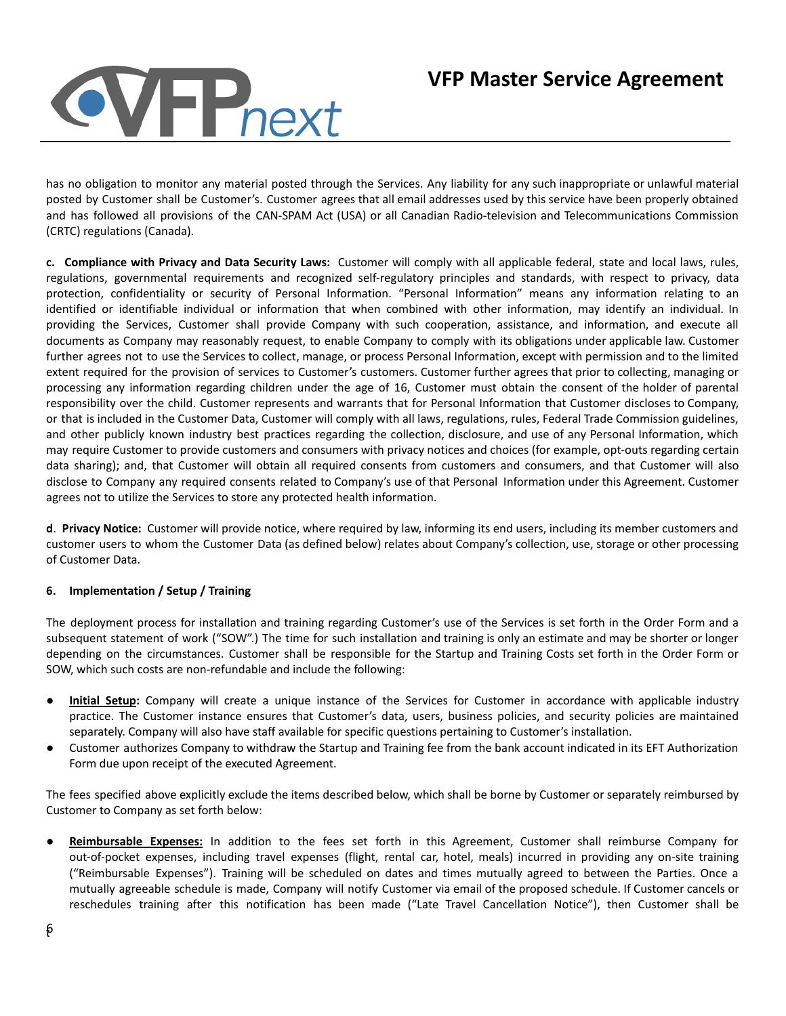

has no obligation to monitor any material posted through the Services. Any liability for any such inappropriate or unlawful material posted by Customer shall be Customer's. Customer agrees that all email addresses used by this service have been properly obtained and has followed all provisions of the CAN-SPAM Act (USA) or all Canadian Radio-television and Telecommunications Commission (CRTC) regulations (Canada).

**c. Compliance with Privacy and Data Security Laws:** Customer will comply with all applicable federal, state and local laws, rules, regulations, governmental requirements and recognized self-regulatory principles and standards, with respect to privacy, data protection, confidentiality or security of Personal Information. "Personal Information" means any information relating to an identified or identifiable individual or information that when combined with other information, may identify an individual. In providing the Services, Customer shall provide Company with such cooperation, assistance, and information, and execute all documents as Company may reasonably request, to enable Company to comply with its obligations under applicable law. Customer further agrees not to use the Services to collect, manage, or process Personal Information, except with permission and to the limited extent required for the provision of services to Customer's customers. Customer further agrees that prior to collecting, managing or processing any information regarding children under the age of 16, Customer must obtain the consent of the holder of parental responsibility over the child. Customer represents and warrants that for Personal Information that Customer discloses to Company, or that is included in the Customer Data, Customer will comply with all laws, regulations, rules, Federal Trade Commission guidelines, and other publicly known industry best practices regarding the collection, disclosure, and use of any Personal Information, which may require Customer to provide customers and consumers with privacy notices and choices (for example, opt-outs regarding certain data sharing); and, that Customer will obtain all required consents from customers and consumers, and that Customer will also disclose to Company any required consents related to Company's use of that Personal Information under this Agreement. Customer agrees not to utilize the Services to store any protected health information.

**d**. **Privacy Notice:** Customer will provide notice, where required by law, informing its end users, including its member customers and customer users to whom the Customer Data (as defined below) relates about Company's collection, use, storage or other processing of Customer Data.

## **6. Implementation / Setup / Training**

The deployment process for installation and training regarding Customer's use of the Services is set forth in the Order Form and a subsequent statement of work ("SOW".) The time for such installation and training is only an estimate and may be shorter or longer depending on the circumstances. Customer shall be responsible for the Startup and Training Costs set forth in the Order Form or SOW, which such costs are non-refundable and include the following:

- **Initial Setup:** Company will create a unique instance of the Services for Customer in accordance with applicable industry practice. The Customer instance ensures that Customer's data, users, business policies, and security policies are maintained separately. Company will also have staff available for specific questions pertaining to Customer's installation.
- Customer authorizes Company to withdraw the Startup and Training fee from the bank account indicated in its EFT Authorization Form due upon receipt of the executed Agreement.

The fees specified above explicitly exclude the items described below, which shall be borne by Customer or separately reimbursed by Customer to Company as set forth below:

● **Reimbursable Expenses:** In addition to the fees set forth in this Agreement, Customer shall reimburse Company for out-of-pocket expenses, including travel expenses (flight, rental car, hotel, meals) incurred in providing any on-site training ("Reimbursable Expenses"). Training will be scheduled on dates and times mutually agreed to between the Parties. Once a mutually agreeable schedule is made, Company will notify Customer via email of the proposed schedule. If Customer cancels or reschedules training after this notification has been made ("Late Travel Cancellation Notice"), then Customer shall be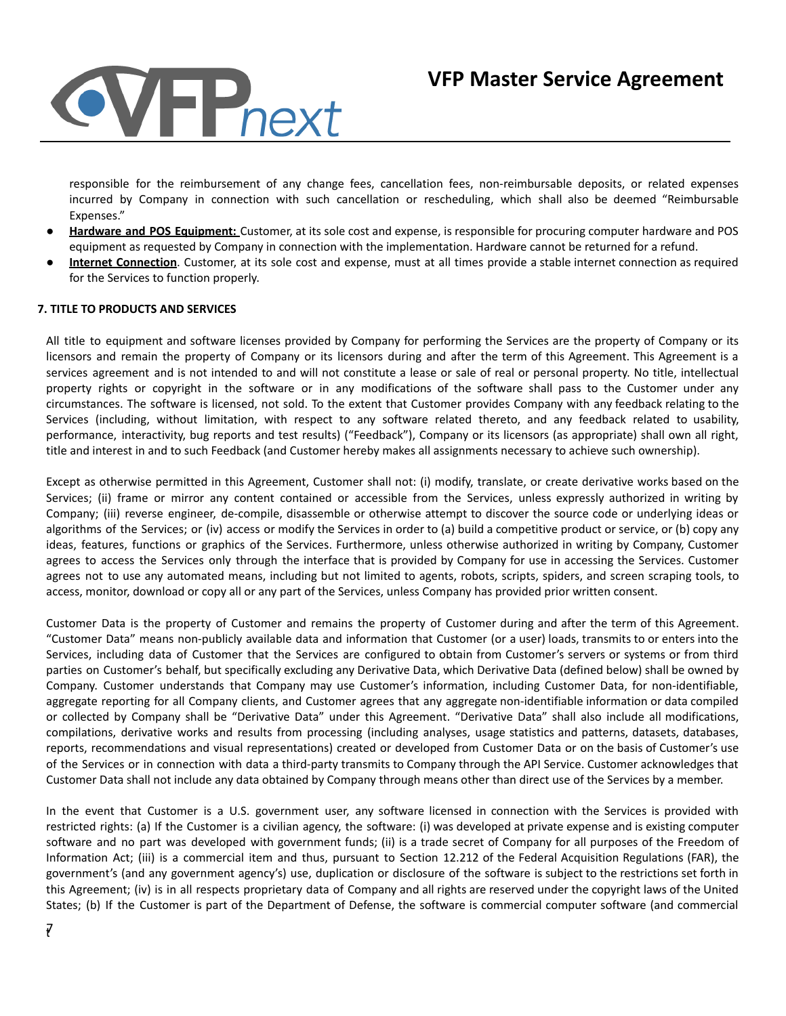

responsible for the reimbursement of any change fees, cancellation fees, non-reimbursable deposits, or related expenses incurred by Company in connection with such cancellation or rescheduling, which shall also be deemed "Reimbursable Expenses."

- **Hardware and POS Equipment:** Customer, at its sole cost and expense, is responsible for procuring computer hardware and POS equipment as requested by Company in connection with the implementation. Hardware cannot be returned for a refund.
- **Internet Connection**. Customer, at its sole cost and expense, must at all times provide a stable internet connection as required for the Services to function properly.

#### **7. TITLE TO PRODUCTS AND SERVICES**

All title to equipment and software licenses provided by Company for performing the Services are the property of Company or its licensors and remain the property of Company or its licensors during and after the term of this Agreement. This Agreement is a services agreement and is not intended to and will not constitute a lease or sale of real or personal property. No title, intellectual property rights or copyright in the software or in any modifications of the software shall pass to the Customer under any circumstances. The software is licensed, not sold. To the extent that Customer provides Company with any feedback relating to the Services (including, without limitation, with respect to any software related thereto, and any feedback related to usability, performance, interactivity, bug reports and test results) ("Feedback"), Company or its licensors (as appropriate) shall own all right, title and interest in and to such Feedback (and Customer hereby makes all assignments necessary to achieve such ownership).

Except as otherwise permitted in this Agreement, Customer shall not: (i) modify, translate, or create derivative works based on the Services; (ii) frame or mirror any content contained or accessible from the Services, unless expressly authorized in writing by Company; (iii) reverse engineer, de-compile, disassemble or otherwise attempt to discover the source code or underlying ideas or algorithms of the Services; or (iv) access or modify the Services in order to (a) build a competitive product or service, or (b) copy any ideas, features, functions or graphics of the Services. Furthermore, unless otherwise authorized in writing by Company, Customer agrees to access the Services only through the interface that is provided by Company for use in accessing the Services. Customer agrees not to use any automated means, including but not limited to agents, robots, scripts, spiders, and screen scraping tools, to access, monitor, download or copy all or any part of the Services, unless Company has provided prior written consent.

Customer Data is the property of Customer and remains the property of Customer during and after the term of this Agreement. "Customer Data" means non-publicly available data and information that Customer (or a user) loads, transmits to or enters into the Services, including data of Customer that the Services are configured to obtain from Customer's servers or systems or from third parties on Customer's behalf, but specifically excluding any Derivative Data, which Derivative Data (defined below) shall be owned by Company. Customer understands that Company may use Customer's information, including Customer Data, for non-identifiable, aggregate reporting for all Company clients, and Customer agrees that any aggregate non-identifiable information or data compiled or collected by Company shall be "Derivative Data" under this Agreement. "Derivative Data" shall also include all modifications, compilations, derivative works and results from processing (including analyses, usage statistics and patterns, datasets, databases, reports, recommendations and visual representations) created or developed from Customer Data or on the basis of Customer's use of the Services or in connection with data a third-party transmits to Company through the API Service. Customer acknowledges that Customer Data shall not include any data obtained by Company through means other than direct use of the Services by a member.

In the event that Customer is a U.S. government user, any software licensed in connection with the Services is provided with restricted rights: (a) If the Customer is a civilian agency, the software: (i) was developed at private expense and is existing computer software and no part was developed with government funds; (ii) is a trade secret of Company for all purposes of the Freedom of Information Act; (iii) is a commercial item and thus, pursuant to Section 12.212 of the Federal Acquisition Regulations (FAR), the government's (and any government agency's) use, duplication or disclosure of the software is subject to the restrictions set forth in this Agreement; (iv) is in all respects proprietary data of Company and all rights are reserved under the copyright laws of the United States; (b) If the Customer is part of the Department of Defense, the software is commercial computer software (and commercial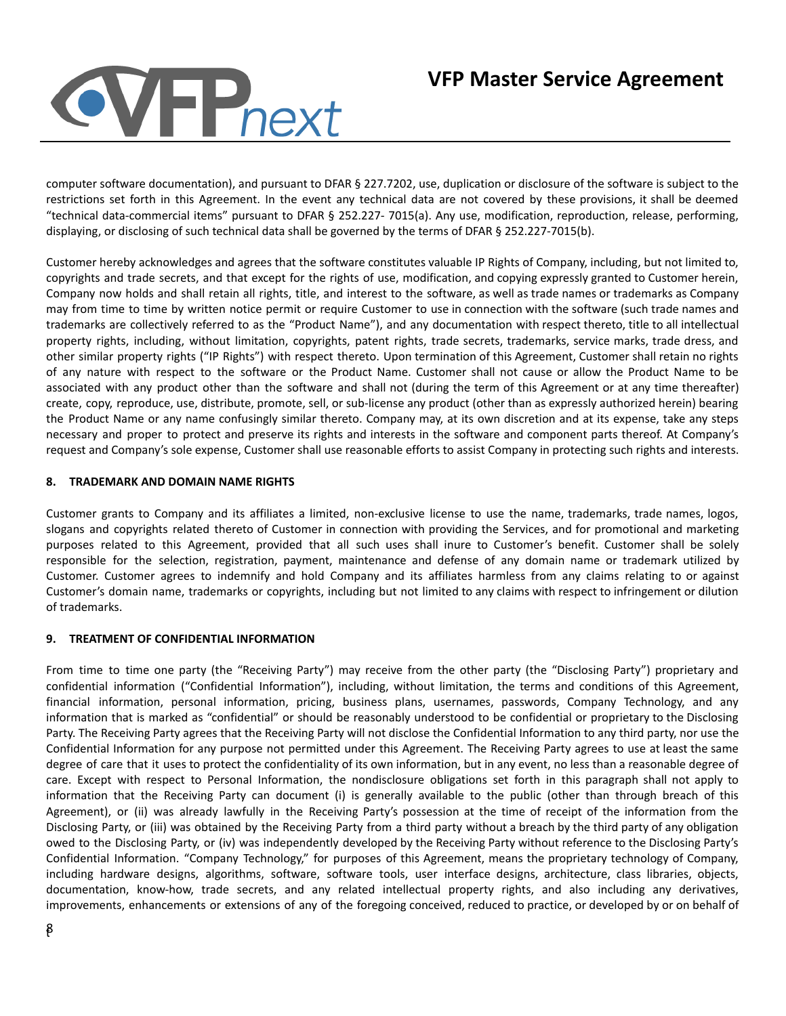# **VI-P**next

## **VFP Master Service Agreement**

computer software documentation), and pursuant to DFAR § 227.7202, use, duplication or disclosure of the software is subject to the restrictions set forth in this Agreement. In the event any technical data are not covered by these provisions, it shall be deemed "technical data-commercial items" pursuant to DFAR § 252.227- 7015(a). Any use, modification, reproduction, release, performing, displaying, or disclosing of such technical data shall be governed by the terms of DFAR § 252.227-7015(b).

Customer hereby acknowledges and agrees that the software constitutes valuable IP Rights of Company, including, but not limited to, copyrights and trade secrets, and that except for the rights of use, modification, and copying expressly granted to Customer herein, Company now holds and shall retain all rights, title, and interest to the software, as well as trade names or trademarks as Company may from time to time by written notice permit or require Customer to use in connection with the software (such trade names and trademarks are collectively referred to as the "Product Name"), and any documentation with respect thereto, title to all intellectual property rights, including, without limitation, copyrights, patent rights, trade secrets, trademarks, service marks, trade dress, and other similar property rights ("IP Rights") with respect thereto. Upon termination of this Agreement, Customer shall retain no rights of any nature with respect to the software or the Product Name. Customer shall not cause or allow the Product Name to be associated with any product other than the software and shall not (during the term of this Agreement or at any time thereafter) create, copy, reproduce, use, distribute, promote, sell, or sub-license any product (other than as expressly authorized herein) bearing the Product Name or any name confusingly similar thereto. Company may, at its own discretion and at its expense, take any steps necessary and proper to protect and preserve its rights and interests in the software and component parts thereof. At Company's request and Company's sole expense, Customer shall use reasonable efforts to assist Company in protecting such rights and interests.

## **8. TRADEMARK AND DOMAIN NAME RIGHTS**

Customer grants to Company and its affiliates a limited, non-exclusive license to use the name, trademarks, trade names, logos, slogans and copyrights related thereto of Customer in connection with providing the Services, and for promotional and marketing purposes related to this Agreement, provided that all such uses shall inure to Customer's benefit. Customer shall be solely responsible for the selection, registration, payment, maintenance and defense of any domain name or trademark utilized by Customer. Customer agrees to indemnify and hold Company and its affiliates harmless from any claims relating to or against Customer's domain name, trademarks or copyrights, including but not limited to any claims with respect to infringement or dilution of trademarks.

## **9. TREATMENT OF CONFIDENTIAL INFORMATION**

From time to time one party (the "Receiving Party") may receive from the other party (the "Disclosing Party") proprietary and confidential information ("Confidential Information"), including, without limitation, the terms and conditions of this Agreement, financial information, personal information, pricing, business plans, usernames, passwords, Company Technology, and any information that is marked as "confidential" or should be reasonably understood to be confidential or proprietary to the Disclosing Party. The Receiving Party agrees that the Receiving Party will not disclose the Confidential Information to any third party, nor use the Confidential Information for any purpose not permitted under this Agreement. The Receiving Party agrees to use at least the same degree of care that it uses to protect the confidentiality of its own information, but in any event, no less than a reasonable degree of care. Except with respect to Personal Information, the nondisclosure obligations set forth in this paragraph shall not apply to information that the Receiving Party can document (i) is generally available to the public (other than through breach of this Agreement), or (ii) was already lawfully in the Receiving Party's possession at the time of receipt of the information from the Disclosing Party, or (iii) was obtained by the Receiving Party from a third party without a breach by the third party of any obligation owed to the Disclosing Party, or (iv) was independently developed by the Receiving Party without reference to the Disclosing Party's Confidential Information. "Company Technology," for purposes of this Agreement, means the proprietary technology of Company, including hardware designs, algorithms, software, software tools, user interface designs, architecture, class libraries, objects, documentation, know-how, trade secrets, and any related intellectual property rights, and also including any derivatives, improvements, enhancements or extensions of any of the foregoing conceived, reduced to practice, or developed by or on behalf of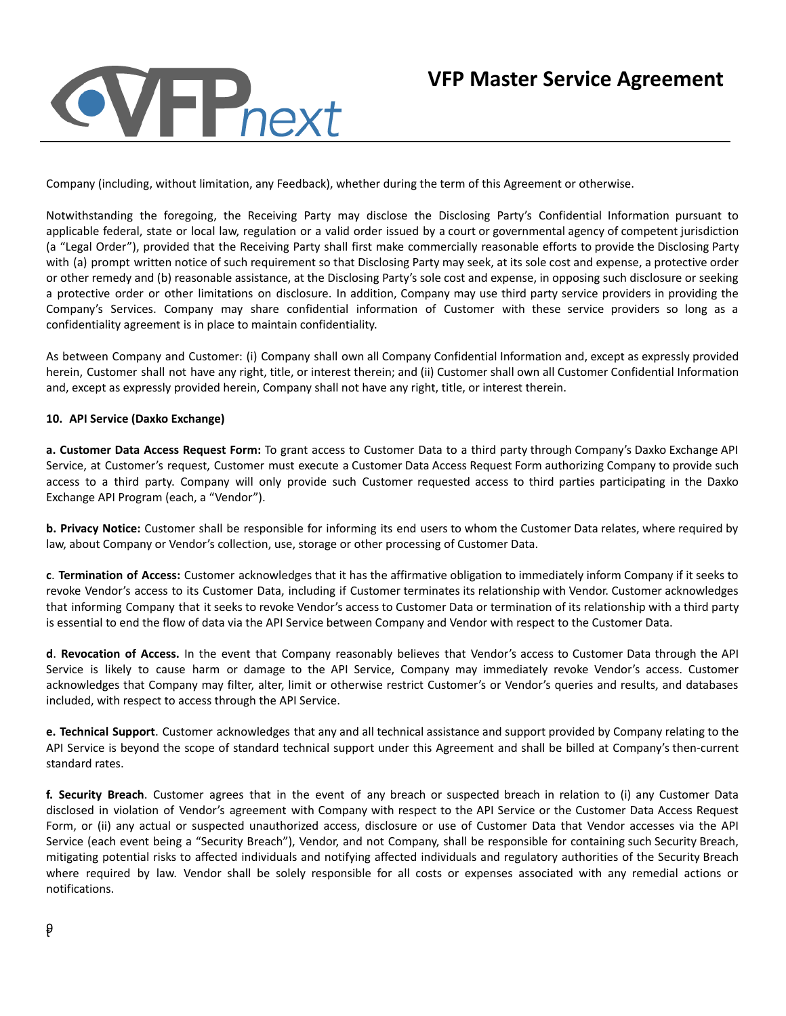## **VFF**<sub>next</sub>

## **VFP Master Service Agreement**

Company (including, without limitation, any Feedback), whether during the term of this Agreement or otherwise.

Notwithstanding the foregoing, the Receiving Party may disclose the Disclosing Party's Confidential Information pursuant to applicable federal, state or local law, regulation or a valid order issued by a court or governmental agency of competent jurisdiction (a "Legal Order"), provided that the Receiving Party shall first make commercially reasonable efforts to provide the Disclosing Party with (a) prompt written notice of such requirement so that Disclosing Party may seek, at its sole cost and expense, a protective order or other remedy and (b) reasonable assistance, at the Disclosing Party's sole cost and expense, in opposing such disclosure or seeking a protective order or other limitations on disclosure. In addition, Company may use third party service providers in providing the Company's Services. Company may share confidential information of Customer with these service providers so long as a confidentiality agreement is in place to maintain confidentiality.

As between Company and Customer: (i) Company shall own all Company Confidential Information and, except as expressly provided herein, Customer shall not have any right, title, or interest therein; and (ii) Customer shall own all Customer Confidential Information and, except as expressly provided herein, Company shall not have any right, title, or interest therein.

#### **10. API Service (Daxko Exchange)**

**a. Customer Data Access Request Form:** To grant access to Customer Data to a third party through Company's Daxko Exchange API Service, at Customer's request, Customer must execute a Customer Data Access Request Form authorizing Company to provide such access to a third party. Company will only provide such Customer requested access to third parties participating in the Daxko Exchange API Program (each, a "Vendor").

**b. Privacy Notice:** Customer shall be responsible for informing its end users to whom the Customer Data relates, where required by law, about Company or Vendor's collection, use, storage or other processing of Customer Data.

**c**. **Termination of Access:** Customer acknowledges that it has the affirmative obligation to immediately inform Company if it seeks to revoke Vendor's access to its Customer Data, including if Customer terminates its relationship with Vendor. Customer acknowledges that informing Company that it seeks to revoke Vendor's access to Customer Data or termination of its relationship with a third party is essential to end the flow of data via the API Service between Company and Vendor with respect to the Customer Data.

**d**. **Revocation of Access.** In the event that Company reasonably believes that Vendor's access to Customer Data through the API Service is likely to cause harm or damage to the API Service, Company may immediately revoke Vendor's access. Customer acknowledges that Company may filter, alter, limit or otherwise restrict Customer's or Vendor's queries and results, and databases included, with respect to access through the API Service.

**e. Technical Support**. Customer acknowledges that any and all technical assistance and support provided by Company relating to the API Service is beyond the scope of standard technical support under this Agreement and shall be billed at Company's then-current standard rates.

**f. Security Breach**. Customer agrees that in the event of any breach or suspected breach in relation to (i) any Customer Data disclosed in violation of Vendor's agreement with Company with respect to the API Service or the Customer Data Access Request Form, or (ii) any actual or suspected unauthorized access, disclosure or use of Customer Data that Vendor accesses via the API Service (each event being a "Security Breach"), Vendor, and not Company, shall be responsible for containing such Security Breach, mitigating potential risks to affected individuals and notifying affected individuals and regulatory authorities of the Security Breach where required by law. Vendor shall be solely responsible for all costs or expenses associated with any remedial actions or notifications.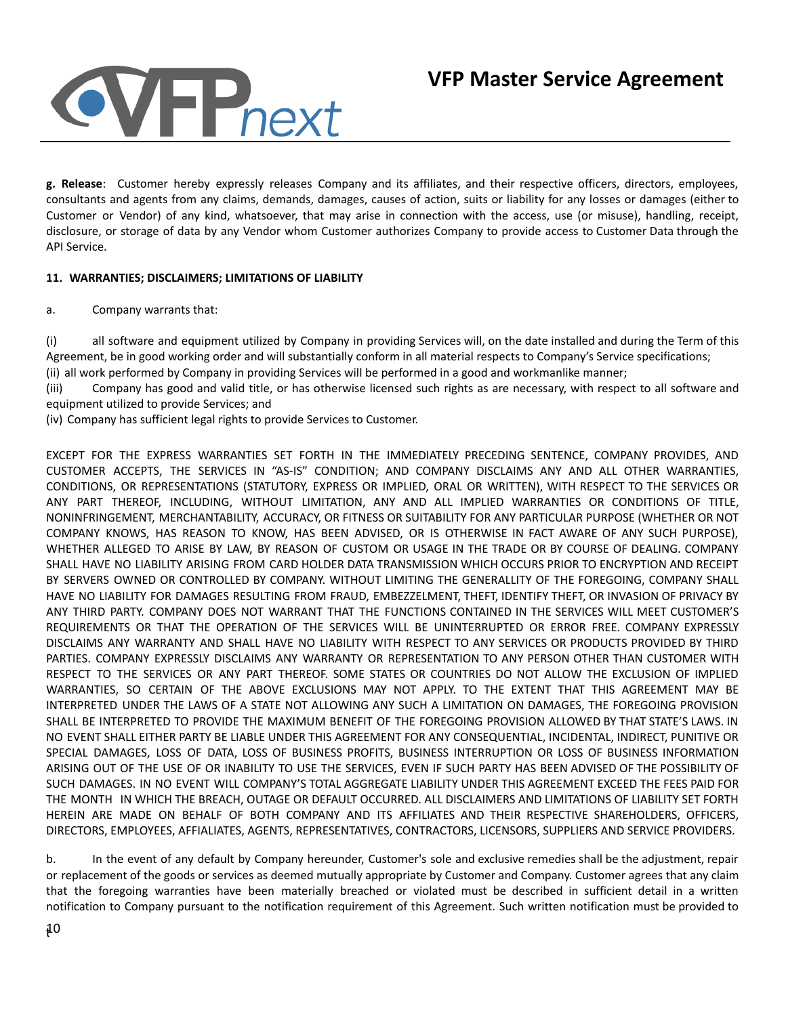

**g. Release**: Customer hereby expressly releases Company and its affiliates, and their respective officers, directors, employees, consultants and agents from any claims, demands, damages, causes of action, suits or liability for any losses or damages (either to Customer or Vendor) of any kind, whatsoever, that may arise in connection with the access, use (or misuse), handling, receipt, disclosure, or storage of data by any Vendor whom Customer authorizes Company to provide access to Customer Data through the API Service.

## **11. WARRANTIES; DISCLAIMERS; LIMITATIONS OF LIABILITY**

a. Company warrants that:

(i) all software and equipment utilized by Company in providing Services will, on the date installed and during the Term of this Agreement, be in good working order and will substantially conform in all material respects to Company's Service specifications; (ii) all work performed by Company in providing Services will be performed in a good and workmanlike manner;

(iii) Company has good and valid title, or has otherwise licensed such rights as are necessary, with respect to all software and equipment utilized to provide Services; and

(iv) Company has sufficient legal rights to provide Services to Customer.

EXCEPT FOR THE EXPRESS WARRANTIES SET FORTH IN THE IMMEDIATELY PRECEDING SENTENCE, COMPANY PROVIDES, AND CUSTOMER ACCEPTS, THE SERVICES IN "AS-IS" CONDITION; AND COMPANY DISCLAIMS ANY AND ALL OTHER WARRANTIES, CONDITIONS, OR REPRESENTATIONS (STATUTORY, EXPRESS OR IMPLIED, ORAL OR WRITTEN), WITH RESPECT TO THE SERVICES OR ANY PART THEREOF, INCLUDING, WITHOUT LIMITATION, ANY AND ALL IMPLIED WARRANTIES OR CONDITIONS OF TITLE, NONINFRINGEMENT, MERCHANTABILITY, ACCURACY, OR FITNESS OR SUITABILITY FOR ANY PARTICULAR PURPOSE (WHETHER OR NOT COMPANY KNOWS, HAS REASON TO KNOW, HAS BEEN ADVISED, OR IS OTHERWISE IN FACT AWARE OF ANY SUCH PURPOSE), WHETHER ALLEGED TO ARISE BY LAW, BY REASON OF CUSTOM OR USAGE IN THE TRADE OR BY COURSE OF DEALING. COMPANY SHALL HAVE NO LIABILITY ARISING FROM CARD HOLDER DATA TRANSMISSION WHICH OCCURS PRIOR TO ENCRYPTION AND RECEIPT BY SERVERS OWNED OR CONTROLLED BY COMPANY. WITHOUT LIMITING THE GENERALLITY OF THE FOREGOING, COMPANY SHALL HAVE NO LIABILITY FOR DAMAGES RESULTING FROM FRAUD, EMBEZZELMENT, THEFT, IDENTIFY THEFT, OR INVASION OF PRIVACY BY ANY THIRD PARTY. COMPANY DOES NOT WARRANT THAT THE FUNCTIONS CONTAINED IN THE SERVICES WILL MEET CUSTOMER'S REQUIREMENTS OR THAT THE OPERATION OF THE SERVICES WILL BE UNINTERRUPTED OR ERROR FREE. COMPANY EXPRESSLY DISCLAIMS ANY WARRANTY AND SHALL HAVE NO LIABILITY WITH RESPECT TO ANY SERVICES OR PRODUCTS PROVIDED BY THIRD PARTIES. COMPANY EXPRESSLY DISCLAIMS ANY WARRANTY OR REPRESENTATION TO ANY PERSON OTHER THAN CUSTOMER WITH RESPECT TO THE SERVICES OR ANY PART THEREOF. SOME STATES OR COUNTRIES DO NOT ALLOW THE EXCLUSION OF IMPLIED WARRANTIES, SO CERTAIN OF THE ABOVE EXCLUSIONS MAY NOT APPLY. TO THE EXTENT THAT THIS AGREEMENT MAY BE INTERPRETED UNDER THE LAWS OF A STATE NOT ALLOWING ANY SUCH A LIMITATION ON DAMAGES, THE FOREGOING PROVISION SHALL BE INTERPRETED TO PROVIDE THE MAXIMUM BENEFIT OF THE FOREGOING PROVISION ALLOWED BY THAT STATE'S LAWS. IN NO EVENT SHALL EITHER PARTY BE LIABLE UNDER THIS AGREEMENT FOR ANY CONSEQUENTIAL, INCIDENTAL, INDIRECT, PUNITIVE OR SPECIAL DAMAGES, LOSS OF DATA, LOSS OF BUSINESS PROFITS, BUSINESS INTERRUPTION OR LOSS OF BUSINESS INFORMATION ARISING OUT OF THE USE OF OR INABILITY TO USE THE SERVICES, EVEN IF SUCH PARTY HAS BEEN ADVISED OF THE POSSIBILITY OF SUCH DAMAGES. IN NO EVENT WILL COMPANY'S TOTAL AGGREGATE LIABILITY UNDER THIS AGREEMENT EXCEED THE FEES PAID FOR THE MONTH IN WHICH THE BREACH, OUTAGE OR DEFAULT OCCURRED. ALL DISCLAIMERS AND LIMITATIONS OF LIABILITY SET FORTH HEREIN ARE MADE ON BEHALF OF BOTH COMPANY AND ITS AFFILIATES AND THEIR RESPECTIVE SHAREHOLDERS, OFFICERS, DIRECTORS, EMPLOYEES, AFFIALIATES, AGENTS, REPRESENTATIVES, CONTRACTORS, LICENSORS, SUPPLIERS AND SERVICE PROVIDERS.

b. In the event of any default by Company hereunder, Customer's sole and exclusive remedies shall be the adjustment, repair or replacement of the goods or services as deemed mutually appropriate by Customer and Company. Customer agrees that any claim that the foregoing warranties have been materially breached or violated must be described in sufficient detail in a written notification to Company pursuant to the notification requirement of this Agreement. Such written notification must be provided to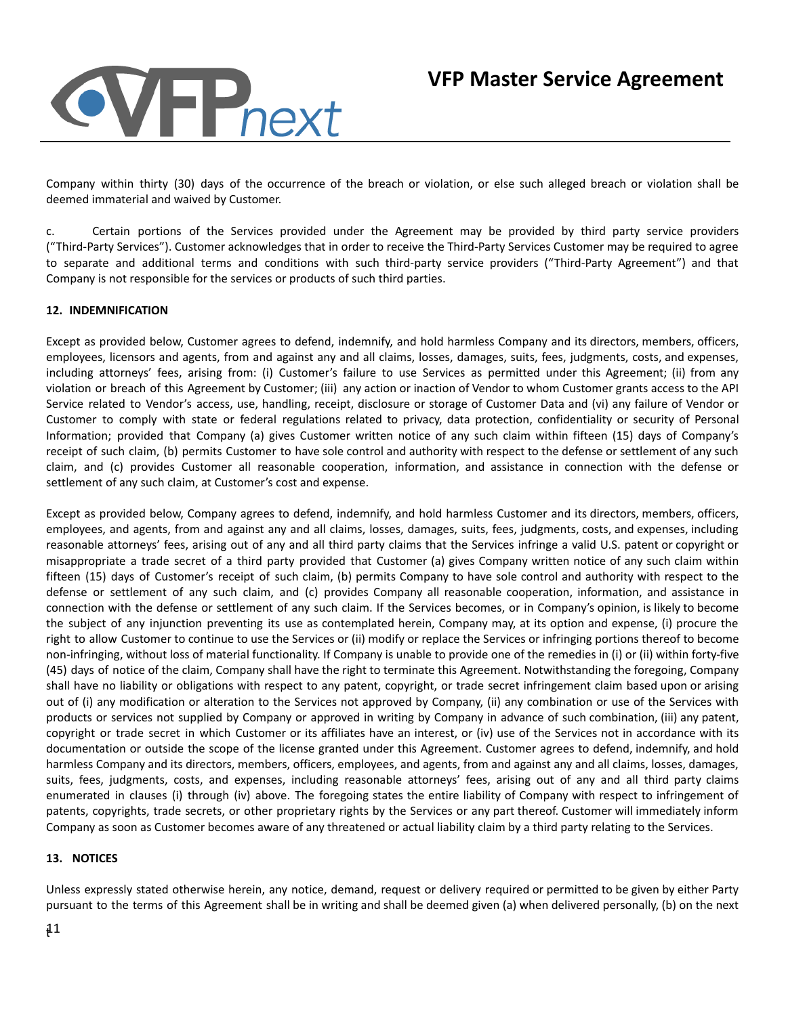## VFFnext

Company within thirty (30) days of the occurrence of the breach or violation, or else such alleged breach or violation shall be deemed immaterial and waived by Customer.

c. Certain portions of the Services provided under the Agreement may be provided by third party service providers ("Third-Party Services"). Customer acknowledges that in order to receive the Third-Party Services Customer may be required to agree to separate and additional terms and conditions with such third-party service providers ("Third-Party Agreement") and that Company is not responsible for the services or products of such third parties.

## **12. INDEMNIFICATION**

Except as provided below, Customer agrees to defend, indemnify, and hold harmless Company and its directors, members, officers, employees, licensors and agents, from and against any and all claims, losses, damages, suits, fees, judgments, costs, and expenses, including attorneys' fees, arising from: (i) Customer's failure to use Services as permitted under this Agreement; (ii) from any violation or breach of this Agreement by Customer; (iii) any action or inaction of Vendor to whom Customer grants access to the API Service related to Vendor's access, use, handling, receipt, disclosure or storage of Customer Data and (vi) any failure of Vendor or Customer to comply with state or federal regulations related to privacy, data protection, confidentiality or security of Personal Information; provided that Company (a) gives Customer written notice of any such claim within fifteen (15) days of Company's receipt of such claim, (b) permits Customer to have sole control and authority with respect to the defense or settlement of any such claim, and (c) provides Customer all reasonable cooperation, information, and assistance in connection with the defense or settlement of any such claim, at Customer's cost and expense.

Except as provided below, Company agrees to defend, indemnify, and hold harmless Customer and its directors, members, officers, employees, and agents, from and against any and all claims, losses, damages, suits, fees, judgments, costs, and expenses, including reasonable attorneys' fees, arising out of any and all third party claims that the Services infringe a valid U.S. patent or copyright or misappropriate a trade secret of a third party provided that Customer (a) gives Company written notice of any such claim within fifteen (15) days of Customer's receipt of such claim, (b) permits Company to have sole control and authority with respect to the defense or settlement of any such claim, and (c) provides Company all reasonable cooperation, information, and assistance in connection with the defense or settlement of any such claim. If the Services becomes, or in Company's opinion, is likely to become the subject of any injunction preventing its use as contemplated herein, Company may, at its option and expense, (i) procure the right to allow Customer to continue to use the Services or (ii) modify or replace the Services or infringing portions thereof to become non-infringing, without loss of material functionality. If Company is unable to provide one of the remedies in (i) or (ii) within forty-five (45) days of notice of the claim, Company shall have the right to terminate this Agreement. Notwithstanding the foregoing, Company shall have no liability or obligations with respect to any patent, copyright, or trade secret infringement claim based upon or arising out of (i) any modification or alteration to the Services not approved by Company, (ii) any combination or use of the Services with products or services not supplied by Company or approved in writing by Company in advance of such combination, (iii) any patent, copyright or trade secret in which Customer or its affiliates have an interest, or (iv) use of the Services not in accordance with its documentation or outside the scope of the license granted under this Agreement. Customer agrees to defend, indemnify, and hold harmless Company and its directors, members, officers, employees, and agents, from and against any and all claims, losses, damages, suits, fees, judgments, costs, and expenses, including reasonable attorneys' fees, arising out of any and all third party claims enumerated in clauses (i) through (iv) above. The foregoing states the entire liability of Company with respect to infringement of patents, copyrights, trade secrets, or other proprietary rights by the Services or any part thereof. Customer will immediately inform Company as soon as Customer becomes aware of any threatened or actual liability claim by a third party relating to the Services.

## **13. NOTICES**

Unless expressly stated otherwise herein, any notice, demand, request or delivery required or permitted to be given by either Party pursuant to the terms of this Agreement shall be in writing and shall be deemed given (a) when delivered personally, (b) on the next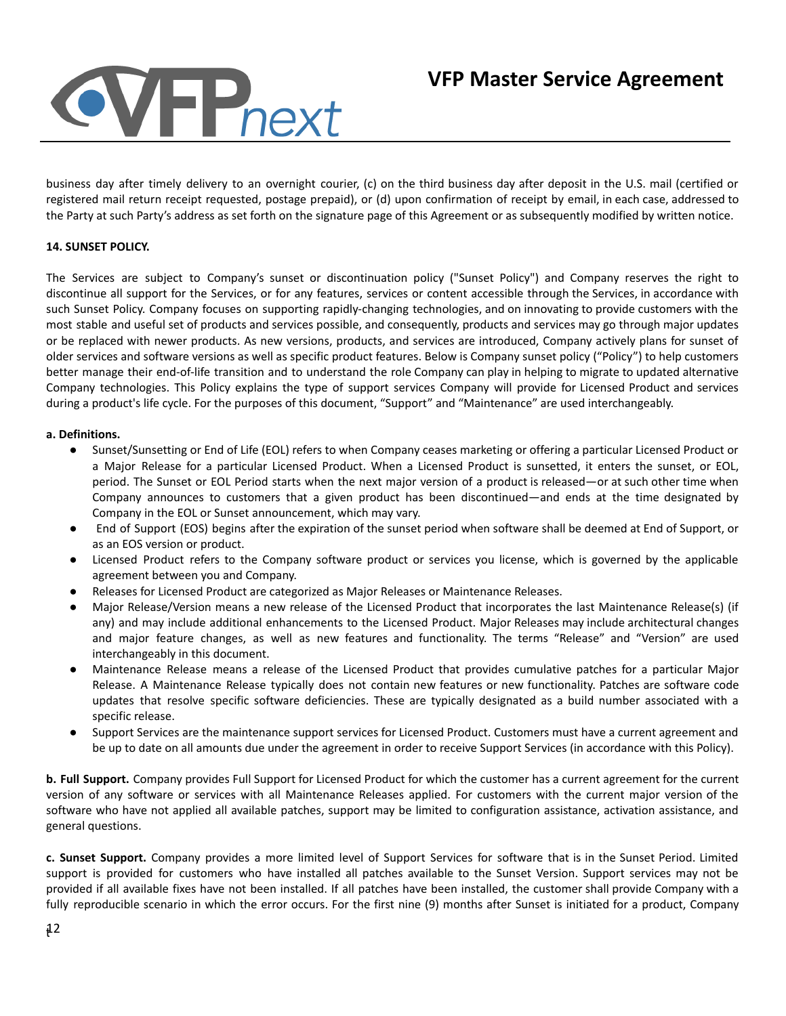

business day after timely delivery to an overnight courier, (c) on the third business day after deposit in the U.S. mail (certified or registered mail return receipt requested, postage prepaid), or (d) upon confirmation of receipt by email, in each case, addressed to the Party at such Party's address as set forth on the signature page of this Agreement or as subsequently modified by written notice.

## **14. SUNSET POLICY.**

The Services are subject to Company's sunset or discontinuation policy ("Sunset Policy") and Company reserves the right to discontinue all support for the Services, or for any features, services or content accessible through the Services, in accordance with such Sunset Policy. Company focuses on supporting rapidly-changing technologies, and on innovating to provide customers with the most stable and useful set of products and services possible, and consequently, products and services may go through major updates or be replaced with newer products. As new versions, products, and services are introduced, Company actively plans for sunset of older services and software versions as well as specific product features. Below is Company sunset policy ("Policy") to help customers better manage their end-of-life transition and to understand the role Company can play in helping to migrate to updated alternative Company technologies. This Policy explains the type of support services Company will provide for Licensed Product and services during a product's life cycle. For the purposes of this document, "Support" and "Maintenance" are used interchangeably.

#### **a. Definitions.**

- Sunset/Sunsetting or End of Life (EOL) refers to when Company ceases marketing or offering a particular Licensed Product or a Major Release for a particular Licensed Product. When a Licensed Product is sunsetted, it enters the sunset, or EOL, period. The Sunset or EOL Period starts when the next major version of a product is released—or at such other time when Company announces to customers that a given product has been discontinued—and ends at the time designated by Company in the EOL or Sunset announcement, which may vary.
- End of Support (EOS) begins after the expiration of the sunset period when software shall be deemed at End of Support, or as an EOS version or product.
- Licensed Product refers to the Company software product or services you license, which is governed by the applicable agreement between you and Company.
- Releases for Licensed Product are categorized as Major Releases or Maintenance Releases.
- Major Release/Version means a new release of the Licensed Product that incorporates the last Maintenance Release(s) (if any) and may include additional enhancements to the Licensed Product. Major Releases may include architectural changes and major feature changes, as well as new features and functionality. The terms "Release" and "Version" are used interchangeably in this document.
- Maintenance Release means a release of the Licensed Product that provides cumulative patches for a particular Major Release. A Maintenance Release typically does not contain new features or new functionality. Patches are software code updates that resolve specific software deficiencies. These are typically designated as a build number associated with a specific release.
- Support Services are the maintenance support services for Licensed Product. Customers must have a current agreement and be up to date on all amounts due under the agreement in order to receive Support Services (in accordance with this Policy).

**b. Full Support.** Company provides Full Support for Licensed Product for which the customer has a current agreement for the current version of any software or services with all Maintenance Releases applied. For customers with the current major version of the software who have not applied all available patches, support may be limited to configuration assistance, activation assistance, and general questions.

**c. Sunset Support.** Company provides a more limited level of Support Services for software that is in the Sunset Period. Limited support is provided for customers who have installed all patches available to the Sunset Version. Support services may not be provided if all available fixes have not been installed. If all patches have been installed, the customer shall provide Company with a fully reproducible scenario in which the error occurs. For the first nine (9) months after Sunset is initiated for a product, Company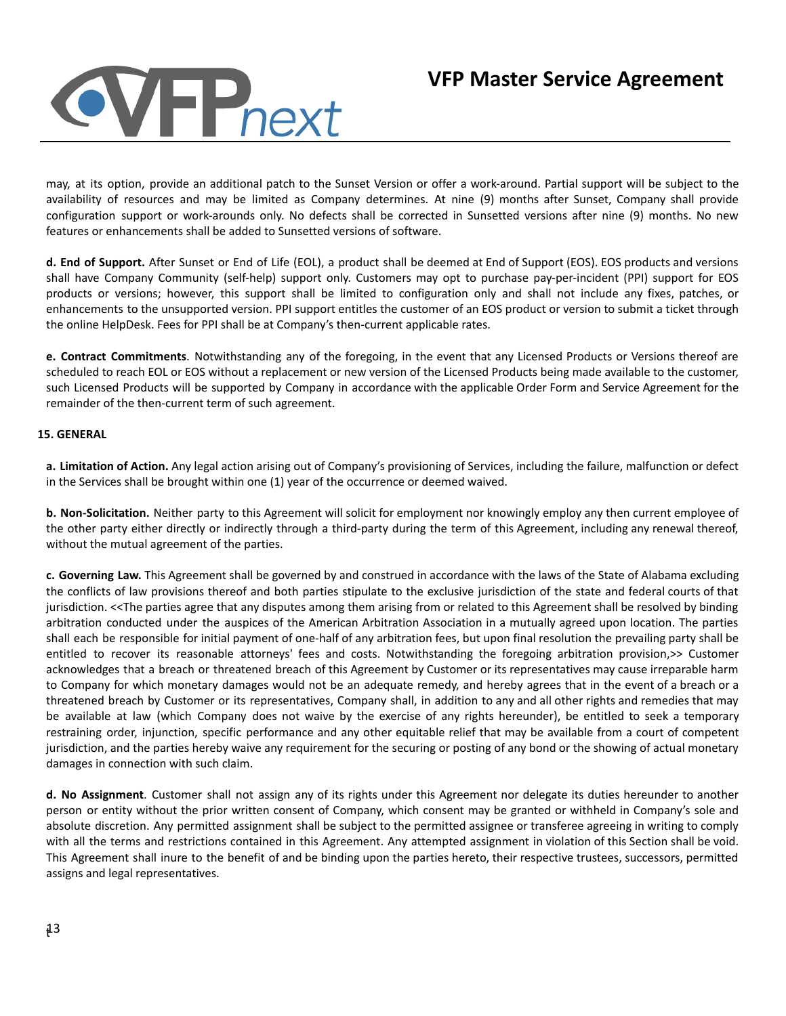

may, at its option, provide an additional patch to the Sunset Version or offer a work-around. Partial support will be subject to the availability of resources and may be limited as Company determines. At nine (9) months after Sunset, Company shall provide configuration support or work-arounds only. No defects shall be corrected in Sunsetted versions after nine (9) months. No new features or enhancements shall be added to Sunsetted versions of software.

**d. End of Support.** After Sunset or End of Life (EOL), a product shall be deemed at End of Support (EOS). EOS products and versions shall have Company Community (self-help) support only. Customers may opt to purchase pay-per-incident (PPI) support for EOS products or versions; however, this support shall be limited to configuration only and shall not include any fixes, patches, or enhancements to the unsupported version. PPI support entitles the customer of an EOS product or version to submit a ticket through the online HelpDesk. Fees for PPI shall be at Company's then-current applicable rates.

**e. Contract Commitments**. Notwithstanding any of the foregoing, in the event that any Licensed Products or Versions thereof are scheduled to reach EOL or EOS without a replacement or new version of the Licensed Products being made available to the customer, such Licensed Products will be supported by Company in accordance with the applicable Order Form and Service Agreement for the remainder of the then-current term of such agreement.

## **15. GENERAL**

**a. Limitation of Action.** Any legal action arising out of Company's provisioning of Services, including the failure, malfunction or defect in the Services shall be brought within one (1) year of the occurrence or deemed waived.

**b. Non-Solicitation.** Neither party to this Agreement will solicit for employment nor knowingly employ any then current employee of the other party either directly or indirectly through a third-party during the term of this Agreement, including any renewal thereof, without the mutual agreement of the parties.

**c. Governing Law.** This Agreement shall be governed by and construed in accordance with the laws of the State of Alabama excluding the conflicts of law provisions thereof and both parties stipulate to the exclusive jurisdiction of the state and federal courts of that jurisdiction. <<The parties agree that any disputes among them arising from or related to this Agreement shall be resolved by binding arbitration conducted under the auspices of the American Arbitration Association in a mutually agreed upon location. The parties shall each be responsible for initial payment of one-half of any arbitration fees, but upon final resolution the prevailing party shall be entitled to recover its reasonable attorneys' fees and costs. Notwithstanding the foregoing arbitration provision, >> Customer acknowledges that a breach or threatened breach of this Agreement by Customer or its representatives may cause irreparable harm to Company for which monetary damages would not be an adequate remedy, and hereby agrees that in the event of a breach or a threatened breach by Customer or its representatives, Company shall, in addition to any and all other rights and remedies that may be available at law (which Company does not waive by the exercise of any rights hereunder), be entitled to seek a temporary restraining order, injunction, specific performance and any other equitable relief that may be available from a court of competent jurisdiction, and the parties hereby waive any requirement for the securing or posting of any bond or the showing of actual monetary damages in connection with such claim.

**d. No Assignment**. Customer shall not assign any of its rights under this Agreement nor delegate its duties hereunder to another person or entity without the prior written consent of Company, which consent may be granted or withheld in Company's sole and absolute discretion. Any permitted assignment shall be subject to the permitted assignee or transferee agreeing in writing to comply with all the terms and restrictions contained in this Agreement. Any attempted assignment in violation of this Section shall be void. This Agreement shall inure to the benefit of and be binding upon the parties hereto, their respective trustees, successors, permitted assigns and legal representatives.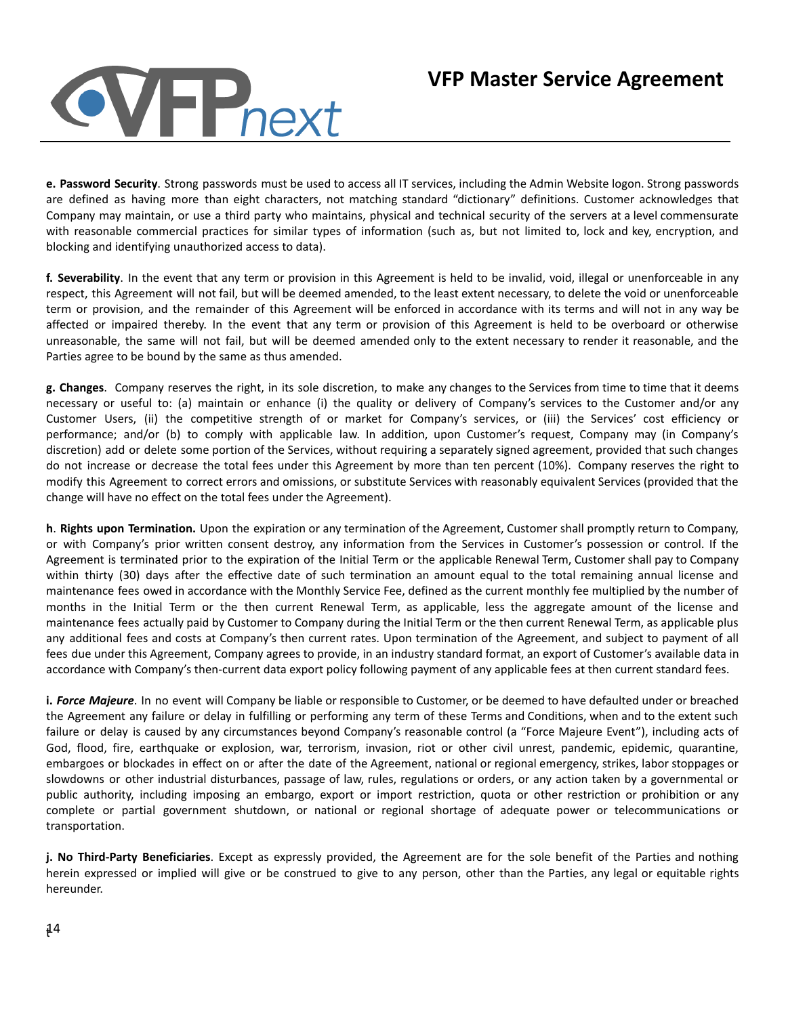# **NHP**next

## **VFP Master Service Agreement**

**e. Password Security**. Strong passwords must be used to access all IT services, including the Admin Website logon. Strong passwords are defined as having more than eight characters, not matching standard "dictionary" definitions. Customer acknowledges that Company may maintain, or use a third party who maintains, physical and technical security of the servers at a level commensurate with reasonable commercial practices for similar types of information (such as, but not limited to, lock and key, encryption, and blocking and identifying unauthorized access to data).

**f. Severability**. In the event that any term or provision in this Agreement is held to be invalid, void, illegal or unenforceable in any respect, this Agreement will not fail, but will be deemed amended, to the least extent necessary, to delete the void or unenforceable term or provision, and the remainder of this Agreement will be enforced in accordance with its terms and will not in any way be affected or impaired thereby. In the event that any term or provision of this Agreement is held to be overboard or otherwise unreasonable, the same will not fail, but will be deemed amended only to the extent necessary to render it reasonable, and the Parties agree to be bound by the same as thus amended.

**g. Changes**. Company reserves the right, in its sole discretion, to make any changes to the Services from time to time that it deems necessary or useful to: (a) maintain or enhance (i) the quality or delivery of Company's services to the Customer and/or any Customer Users, (ii) the competitive strength of or market for Company's services, or (iii) the Services' cost efficiency or performance; and/or (b) to comply with applicable law. In addition, upon Customer's request, Company may (in Company's discretion) add or delete some portion of the Services, without requiring a separately signed agreement, provided that such changes do not increase or decrease the total fees under this Agreement by more than ten percent (10%). Company reserves the right to modify this Agreement to correct errors and omissions, or substitute Services with reasonably equivalent Services (provided that the change will have no effect on the total fees under the Agreement).

**h**. **Rights upon Termination.** Upon the expiration or any termination of the Agreement, Customer shall promptly return to Company, or with Company's prior written consent destroy, any information from the Services in Customer's possession or control. If the Agreement is terminated prior to the expiration of the Initial Term or the applicable Renewal Term, Customer shall pay to Company within thirty (30) days after the effective date of such termination an amount equal to the total remaining annual license and maintenance fees owed in accordance with the Monthly Service Fee, defined as the current monthly fee multiplied by the number of months in the Initial Term or the then current Renewal Term, as applicable, less the aggregate amount of the license and maintenance fees actually paid by Customer to Company during the Initial Term or the then current Renewal Term, as applicable plus any additional fees and costs at Company's then current rates. Upon termination of the Agreement, and subject to payment of all fees due under this Agreement, Company agrees to provide, in an industry standard format, an export of Customer's available data in accordance with Company's then-current data export policy following payment of any applicable fees at then current standard fees.

**i.** *Force Majeure*. In no event will Company be liable or responsible to Customer, or be deemed to have defaulted under or breached the Agreement any failure or delay in fulfilling or performing any term of these Terms and Conditions, when and to the extent such failure or delay is caused by any circumstances beyond Company's reasonable control (a "Force Majeure Event"), including acts of God, flood, fire, earthquake or explosion, war, terrorism, invasion, riot or other civil unrest, pandemic, epidemic, quarantine, embargoes or blockades in effect on or after the date of the Agreement, national or regional emergency, strikes, labor stoppages or slowdowns or other industrial disturbances, passage of law, rules, regulations or orders, or any action taken by a governmental or public authority, including imposing an embargo, export or import restriction, quota or other restriction or prohibition or any complete or partial government shutdown, or national or regional shortage of adequate power or telecommunications or transportation.

**j. No Third-Party Beneficiaries**. Except as expressly provided, the Agreement are for the sole benefit of the Parties and nothing herein expressed or implied will give or be construed to give to any person, other than the Parties, any legal or equitable rights hereunder.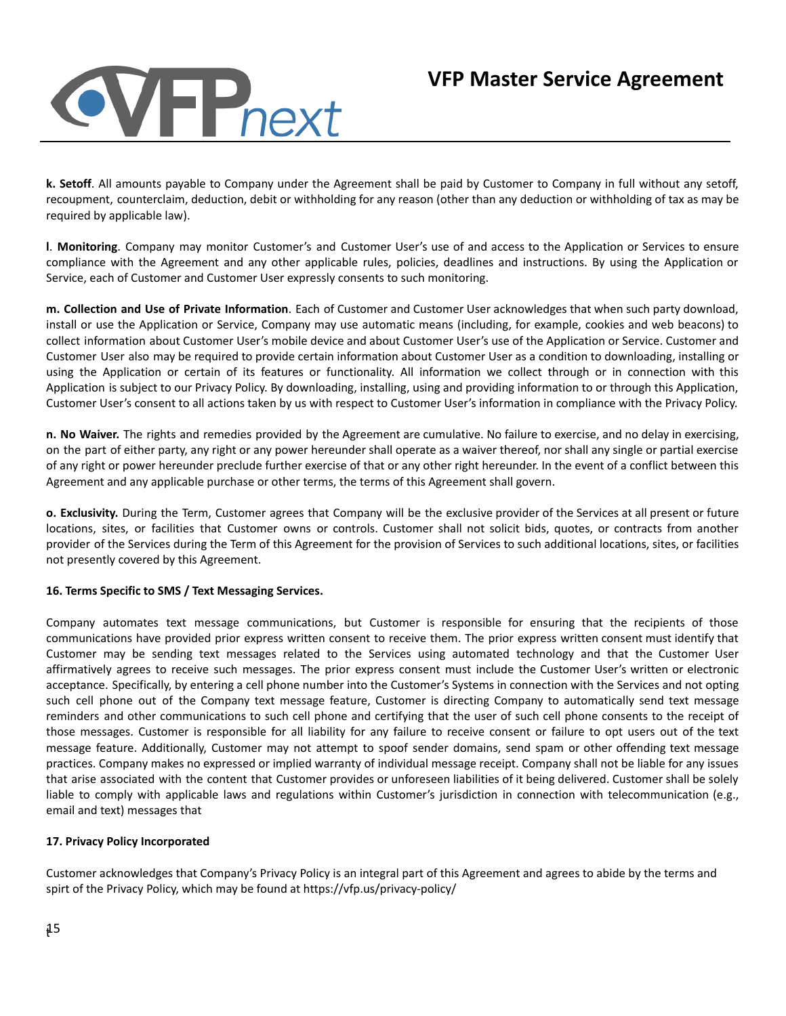

**k. Setoff**. All amounts payable to Company under the Agreement shall be paid by Customer to Company in full without any setoff, recoupment, counterclaim, deduction, debit or withholding for any reason (other than any deduction or withholding of tax as may be required by applicable law).

**l**. **Monitoring**. Company may monitor Customer's and Customer User's use of and access to the Application or Services to ensure compliance with the Agreement and any other applicable rules, policies, deadlines and instructions. By using the Application or Service, each of Customer and Customer User expressly consents to such monitoring.

**m. Collection and Use of Private Information**. Each of Customer and Customer User acknowledges that when such party download, install or use the Application or Service, Company may use automatic means (including, for example, cookies and web beacons) to collect information about Customer User's mobile device and about Customer User's use of the Application or Service. Customer and Customer User also may be required to provide certain information about Customer User as a condition to downloading, installing or using the Application or certain of its features or functionality. All information we collect through or in connection with this Application is subject to our Privacy Policy. By downloading, installing, using and providing information to or through this Application, Customer User's consent to all actions taken by us with respect to Customer User's information in compliance with the Privacy Policy.

**n. No Waiver.** The rights and remedies provided by the Agreement are cumulative. No failure to exercise, and no delay in exercising, on the part of either party, any right or any power hereunder shall operate as a waiver thereof, nor shall any single or partial exercise of any right or power hereunder preclude further exercise of that or any other right hereunder. In the event of a conflict between this Agreement and any applicable purchase or other terms, the terms of this Agreement shall govern.

**o. Exclusivity.** During the Term, Customer agrees that Company will be the exclusive provider of the Services at all present or future locations, sites, or facilities that Customer owns or controls. Customer shall not solicit bids, quotes, or contracts from another provider of the Services during the Term of this Agreement for the provision of Services to such additional locations, sites, or facilities not presently covered by this Agreement.

## **16. Terms Specific to SMS / Text Messaging Services.**

Company automates text message communications, but Customer is responsible for ensuring that the recipients of those communications have provided prior express written consent to receive them. The prior express written consent must identify that Customer may be sending text messages related to the Services using automated technology and that the Customer User affirmatively agrees to receive such messages. The prior express consent must include the Customer User's written or electronic acceptance. Specifically, by entering a cell phone number into the Customer's Systems in connection with the Services and not opting such cell phone out of the Company text message feature, Customer is directing Company to automatically send text message reminders and other communications to such cell phone and certifying that the user of such cell phone consents to the receipt of those messages. Customer is responsible for all liability for any failure to receive consent or failure to opt users out of the text message feature. Additionally, Customer may not attempt to spoof sender domains, send spam or other offending text message practices. Company makes no expressed or implied warranty of individual message receipt. Company shall not be liable for any issues that arise associated with the content that Customer provides or unforeseen liabilities of it being delivered. Customer shall be solely liable to comply with applicable laws and regulations within Customer's jurisdiction in connection with telecommunication (e.g., email and text) messages that

## **17. Privacy Policy Incorporated**

Customer acknowledges that Company's Privacy Policy is an integral part of this Agreement and agrees to abide by the terms and spirt of the Privacy Policy, which may be found at https://vfp.us/privacy-policy/